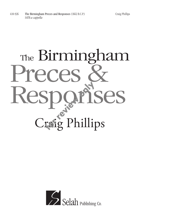## The Birmingham The Birminghai Responses Craig Phillips

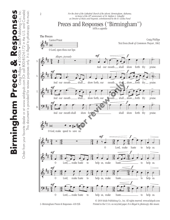

2–Birmingham Preces & Responses–410-926

n Preces & Responses—410-926 Printed in the U.S.A. on recycled paper. *It is illegal to photocopy this music*. was in the parameter of  $\mathcal{C}$  in  $\mathcal{C}$ 

Order from your favorite dealer or at www.selahpub.com (Or call 800-852-6172 in the U.S. and Canada)

Order from your favorite dealer or at www.selahpub.com (Or

 $\overline{a}$ 

Canada)

and

in the  $U.S.$ 

800-852-6172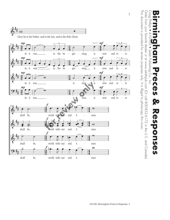

Order from your favorite dealer or at www.selahpub.com (Or call 800-852-6172 in the U.S. and Canada)

Order from your favorite dealer or at www.selahpub.com (Or call 800-852-6172 in the U.S. and Canada)

*It is illegal to photocopy this music.*

3

This document is provided for review purposes only.

This document is provided for review purposes only. It is illegal to photocopy this music.